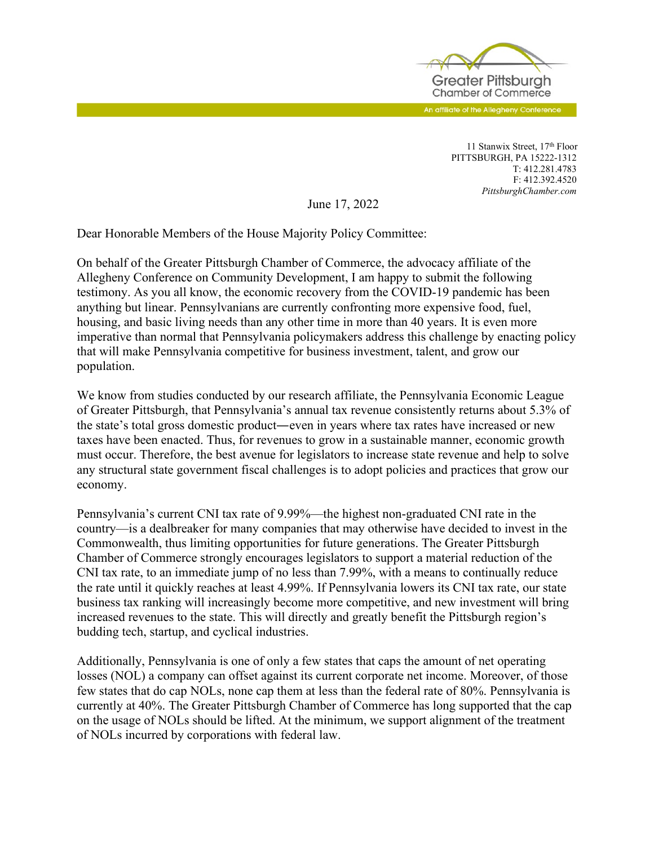

An affiliate of the Allegheny Conference

11 Stanwix Street, 17th Floor PITTSBURGH, PA 15222-1312 T: 412.281.4783 F: 412.392.4520 *PittsburghChamber.com*

June 17, 2022

Dear Honorable Members of the House Majority Policy Committee:

On behalf of the Greater Pittsburgh Chamber of Commerce, the advocacy affiliate of the Allegheny Conference on Community Development, I am happy to submit the following testimony. As you all know, the economic recovery from the COVID-19 pandemic has been anything but linear. Pennsylvanians are currently confronting more expensive food, fuel, housing, and basic living needs than any other time in more than 40 years. It is even more imperative than normal that Pennsylvania policymakers address this challenge by enacting policy that will make Pennsylvania competitive for business investment, talent, and grow our population.

We know from studies conducted by our research affiliate, the Pennsylvania Economic League of Greater Pittsburgh, that Pennsylvania's annual tax revenue consistently returns about 5.3% of the state's total gross domestic product—even in years where tax rates have increased or new taxes have been enacted. Thus, for revenues to grow in a sustainable manner, economic growth must occur. Therefore, the best avenue for legislators to increase state revenue and help to solve any structural state government fiscal challenges is to adopt policies and practices that grow our economy.

Pennsylvania's current CNI tax rate of 9.99%—the highest non-graduated CNI rate in the country—is a dealbreaker for many companies that may otherwise have decided to invest in the Commonwealth, thus limiting opportunities for future generations. The Greater Pittsburgh Chamber of Commerce strongly encourages legislators to support a material reduction of the CNI tax rate, to an immediate jump of no less than 7.99%, with a means to continually reduce the rate until it quickly reaches at least 4.99%. If Pennsylvania lowers its CNI tax rate, our state business tax ranking will increasingly become more competitive, and new investment will bring increased revenues to the state. This will directly and greatly benefit the Pittsburgh region's budding tech, startup, and cyclical industries.

Additionally, Pennsylvania is one of only a few states that caps the amount of net operating losses (NOL) a company can offset against its current corporate net income. Moreover, of those few states that do cap NOLs, none cap them at less than the federal rate of 80%. Pennsylvania is currently at 40%. The Greater Pittsburgh Chamber of Commerce has long supported that the cap on the usage of NOLs should be lifted. At the minimum, we support alignment of the treatment of NOLs incurred by corporations with federal law.